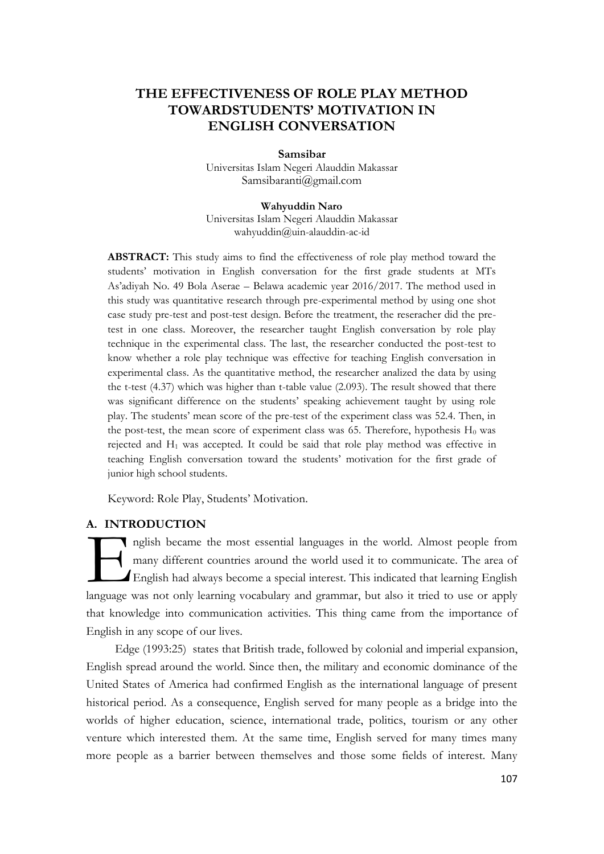# **THE EFFECTIVENESS OF ROLE PLAY METHOD TOWARDSTUDENTS' MOTIVATION IN ENGLISH CONVERSATION**

**Samsibar** Universitas Islam Negeri Alauddin Makassar [Samsibaranti@gmail.com](mailto:Samsibaranti@gmail.com)

**Wahyuddin Naro** Universitas Islam Negeri Alauddin Makassar wahyuddin@uin-alauddin-ac-id

**ABSTRACT:** This study aims to find the effectiveness of role play method toward the students' motivation in English conversation for the first grade students at MTs As'adiyah No. 49 Bola Aserae – Belawa academic year 2016/2017. The method used in this study was quantitative research through pre-experimental method by using one shot case study pre-test and post-test design. Before the treatment, the reseracher did the pretest in one class. Moreover, the researcher taught English conversation by role play technique in the experimental class. The last, the researcher conducted the post-test to know whether a role play technique was effective for teaching English conversation in experimental class. As the quantitative method, the researcher analized the data by using the t-test (4.37) which was higher than t-table value (2.093). The result showed that there was significant difference on the students' speaking achievement taught by using role play. The students' mean score of the pre-test of the experiment class was 52.4. Then, in the post-test, the mean score of experiment class was 65. Therefore, hypothesis  $H_0$  was rejected and H<sup>1</sup> was accepted. It could be said that role play method was effective in teaching English conversation toward the students' motivation for the first grade of junior high school students.

Keyword: Role Play, Students' Motivation.

## **A. INTRODUCTION**

nglish became the most essential languages in the world. Almost people from many different countries around the world used it to communicate. The area of English had always become a special interest. This indicated that learning English In the section of the most essential languages in the world. Almost people from<br>
many different countries around the world used it to communicate. The area of<br>
English had always become a special interest. This indicated t that knowledge into communication activities. This thing came from the importance of English in any scope of our lives.

Edge (1993:25) states that British trade, followed by colonial and imperial expansion, English spread around the world. Since then, the military and economic dominance of the United States of America had confirmed English as the international language of present historical period. As a consequence, English served for many people as a bridge into the worlds of higher education, science, international trade, politics, tourism or any other venture which interested them. At the same time, English served for many times many more people as a barrier between themselves and those some fields of interest. Many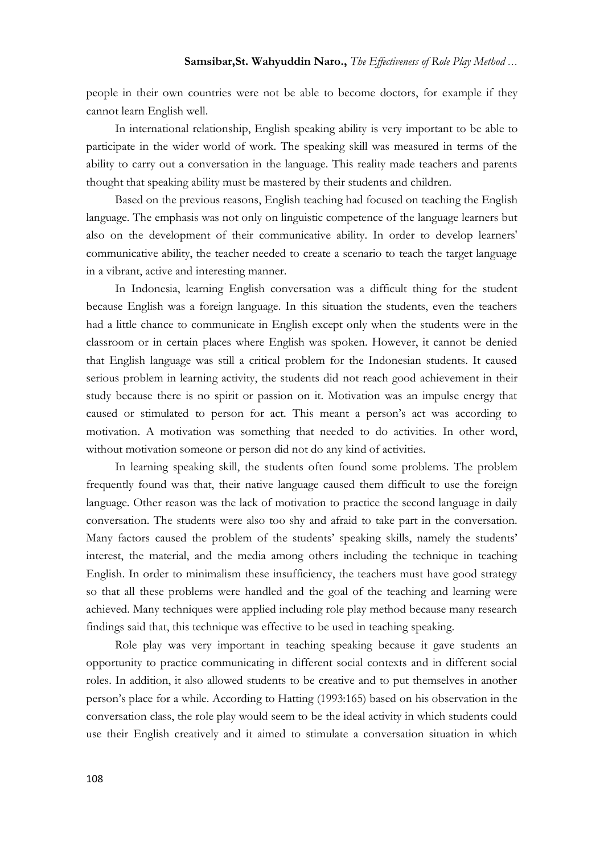people in their own countries were not be able to become doctors, for example if they cannot learn English well.

In international relationship, English speaking ability is very important to be able to participate in the wider world of work. The speaking skill was measured in terms of the ability to carry out a conversation in the language. This reality made teachers and parents thought that speaking ability must be mastered by their students and children.

Based on the previous reasons, English teaching had focused on teaching the English language. The emphasis was not only on linguistic competence of the language learners but also on the development of their communicative ability. In order to develop learners' communicative ability, the teacher needed to create a scenario to teach the target language in a vibrant, active and interesting manner.

In Indonesia, learning English conversation was a difficult thing for the student because English was a foreign language. In this situation the students, even the teachers had a little chance to communicate in English except only when the students were in the classroom or in certain places where English was spoken. However, it cannot be denied that English language was still a critical problem for the Indonesian students. It caused serious problem in learning activity, the students did not reach good achievement in their study because there is no spirit or passion on it. Motivation was an impulse energy that caused or stimulated to person for act. This meant a person's act was according to motivation. A motivation was something that needed to do activities. In other word, without motivation someone or person did not do any kind of activities.

In learning speaking skill, the students often found some problems. The problem frequently found was that, their native language caused them difficult to use the foreign language. Other reason was the lack of motivation to practice the second language in daily conversation. The students were also too shy and afraid to take part in the conversation. Many factors caused the problem of the students' speaking skills, namely the students' interest, the material, and the media among others including the technique in teaching English. In order to minimalism these insufficiency, the teachers must have good strategy so that all these problems were handled and the goal of the teaching and learning were achieved. Many techniques were applied including role play method because many research findings said that, this technique was effective to be used in teaching speaking.

Role play was very important in teaching speaking because it gave students an opportunity to practice communicating in different social contexts and in different social roles. In addition, it also allowed students to be creative and to put themselves in another person's place for a while. According to Hatting (1993:165) based on his observation in the conversation class, the role play would seem to be the ideal activity in which students could use their English creatively and it aimed to stimulate a conversation situation in which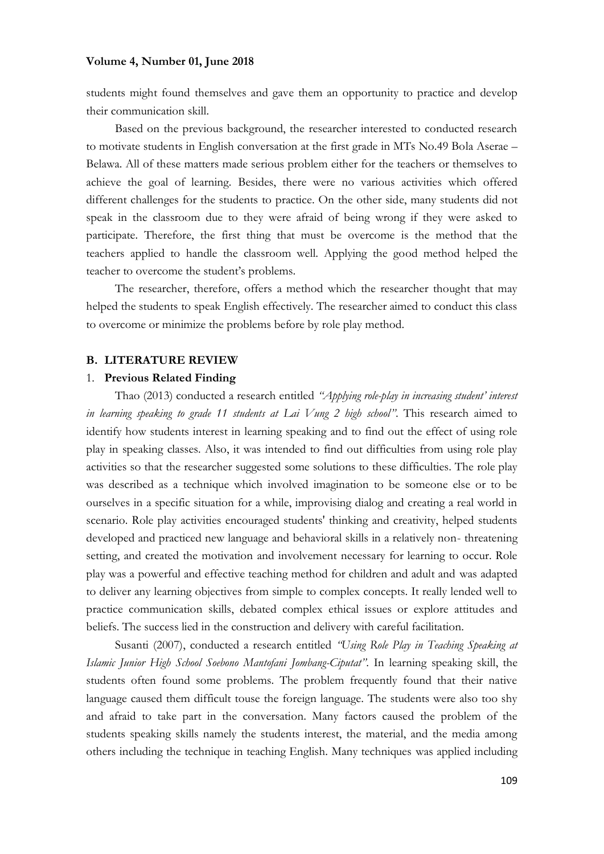### **Volume 4, Number 01, June 2018**

students might found themselves and gave them an opportunity to practice and develop their communication skill.

Based on the previous background, the researcher interested to conducted research to motivate students in English conversation at the first grade in MTs No.49 Bola Aserae – Belawa. All of these matters made serious problem either for the teachers or themselves to achieve the goal of learning. Besides, there were no various activities which offered different challenges for the students to practice. On the other side, many students did not speak in the classroom due to they were afraid of being wrong if they were asked to participate. Therefore, the first thing that must be overcome is the method that the teachers applied to handle the classroom well. Applying the good method helped the teacher to overcome the student's problems.

The researcher, therefore, offers a method which the researcher thought that may helped the students to speak English effectively. The researcher aimed to conduct this class to overcome or minimize the problems before by role play method.

### **B. LITERATURE REVIEW**

### 1. **Previous Related Finding**

Thao (2013) conducted a research entitled *"Applying role-play in increasing student' interest in learning speaking to grade 11 students at Lai Vung 2 high school"*. This research aimed to identify how students interest in learning speaking and to find out the effect of using role play in speaking classes. Also, it was intended to find out difficulties from using role play activities so that the researcher suggested some solutions to these difficulties. The role play was described as a technique which involved imagination to be someone else or to be ourselves in a specific situation for a while, improvising dialog and creating a real world in scenario. Role play activities encouraged students' thinking and creativity, helped students developed and practiced new language and behavioral skills in a relatively non- threatening setting, and created the motivation and involvement necessary for learning to occur. Role play was a powerful and effective teaching method for children and adult and was adapted to deliver any learning objectives from simple to complex concepts. It really lended well to practice communication skills, debated complex ethical issues or explore attitudes and beliefs. The success lied in the construction and delivery with careful facilitation.

Susanti (2007), conducted a research entitled *"Using Role Play in Teaching Speaking at Islamic Junior High School Soebono Mantofani Jombang-Ciputat"*. In learning speaking skill, the students often found some problems. The problem frequently found that their native language caused them difficult touse the foreign language. The students were also too shy and afraid to take part in the conversation. Many factors caused the problem of the students speaking skills namely the students interest, the material, and the media among others including the technique in teaching English. Many techniques was applied including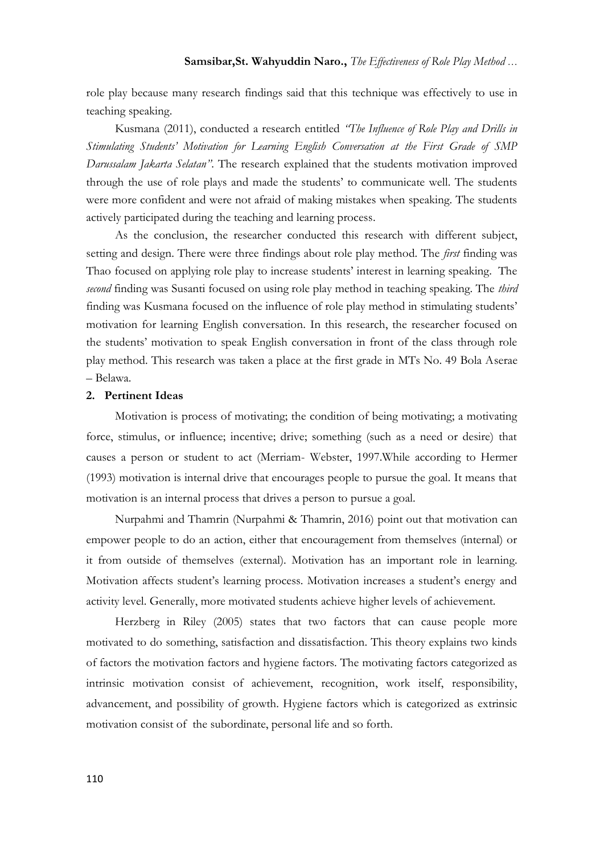### **Samsibar,St. Wahyuddin Naro.,** *The Effectiveness of Role Play Method …*

role play because many research findings said that this technique was effectively to use in teaching speaking.

Kusmana (2011), conducted a research entitled *"The Influence of Role Play and Drills in Stimulating Students' Motivation for Learning English Conversation at the First Grade of SMP Darussalam Jakarta Selatan"*. The research explained that the students motivation improved through the use of role plays and made the students' to communicate well. The students were more confident and were not afraid of making mistakes when speaking. The students actively participated during the teaching and learning process.

As the conclusion, the researcher conducted this research with different subject, setting and design. There were three findings about role play method. The *first* finding was Thao focused on applying role play to increase students' interest in learning speaking. The *second* finding was Susanti focused on using role play method in teaching speaking. The *third* finding was Kusmana focused on the influence of role play method in stimulating students' motivation for learning English conversation. In this research, the researcher focused on the students' motivation to speak English conversation in front of the class through role play method. This research was taken a place at the first grade in MTs No. 49 Bola Aserae – Belawa.

### **2. Pertinent Ideas**

Motivation is process of motivating; the condition of being motivating; a motivating force, stimulus, or influence; incentive; drive; something (such as a need or desire) that causes a person or student to act (Merriam- Webster, 1997.While according to Hermer (1993) motivation is internal drive that encourages people to pursue the goal. It means that motivation is an internal process that drives a person to pursue a goal.

Nurpahmi and Thamrin (Nurpahmi & Thamrin, 2016) point out that motivation can empower people to do an action, either that encouragement from themselves (internal) or it from outside of themselves (external). Motivation has an important role in learning. Motivation affects student's learning process. Motivation increases a student's energy and activity level. Generally, more motivated students achieve higher levels of achievement.

Herzberg in Riley (2005) states that two factors that can cause people more motivated to do something, satisfaction and dissatisfaction. This theory explains two kinds of factors the motivation factors and hygiene factors. The motivating factors categorized as intrinsic motivation consist of achievement, recognition, work itself, responsibility, advancement, and possibility of growth. Hygiene factors which is categorized as extrinsic motivation consist of the subordinate, personal life and so forth.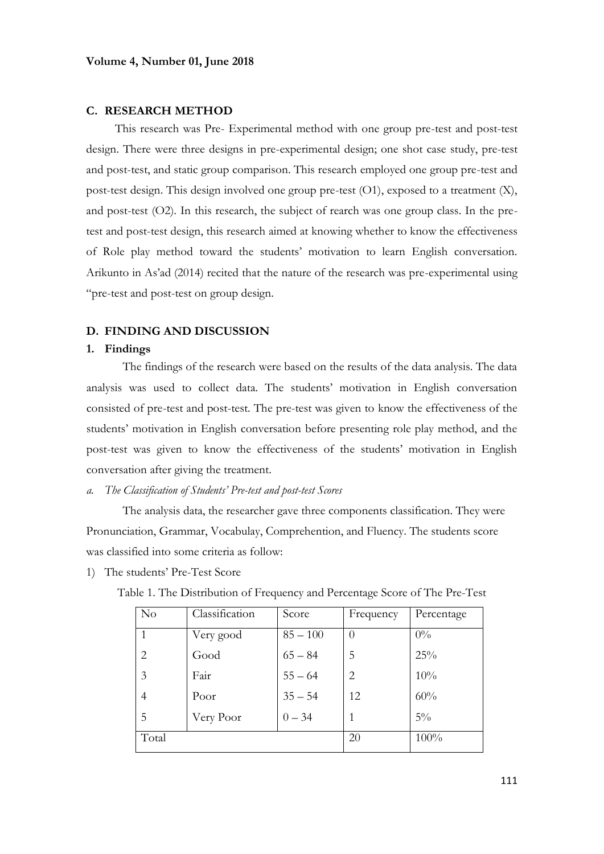### **C. RESEARCH METHOD**

This research was Pre- Experimental method with one group pre-test and post-test design. There were three designs in pre-experimental design; one shot case study, pre-test and post-test, and static group comparison. This research employed one group pre-test and post-test design. This design involved one group pre-test  $(O1)$ , exposed to a treatment  $(X)$ , and post-test (O2). In this research, the subject of rearch was one group class. In the pretest and post-test design, this research aimed at knowing whether to know the effectiveness of Role play method toward the students' motivation to learn English conversation. Arikunto in As'ad (2014) recited that the nature of the research was pre-experimental using "pre-test and post-test on group design.

### **D. FINDING AND DISCUSSION**

#### **1. Findings**

The findings of the research were based on the results of the data analysis. The data analysis was used to collect data. The students' motivation in English conversation consisted of pre-test and post-test. The pre-test was given to know the effectiveness of the students' motivation in English conversation before presenting role play method, and the post-test was given to know the effectiveness of the students' motivation in English conversation after giving the treatment.

*a. The Classification of Students' Pre-test and post-test Scores* 

The analysis data, the researcher gave three components classification. They were Pronunciation, Grammar, Vocabulay, Comprehention, and Fluency. The students score was classified into some criteria as follow:

1) The students' Pre-Test Score

| No    | Classification | Score      | Frequency      | Percentage |
|-------|----------------|------------|----------------|------------|
|       | Very good      | $85 - 100$ | $\theta$       | $0\%$      |
| 2     | Good           | $65 - 84$  | 5              | 25%        |
| 3     | Fair           | $55 - 64$  | $\overline{2}$ | 10%        |
| 4     | Poor           | $35 - 54$  | 12             | 60%        |
| 5     | Very Poor      | $0 - 34$   |                | $5\%$      |
| Total |                |            | 20             | 100%       |

Table 1. The Distribution of Frequency and Percentage Score of The Pre-Test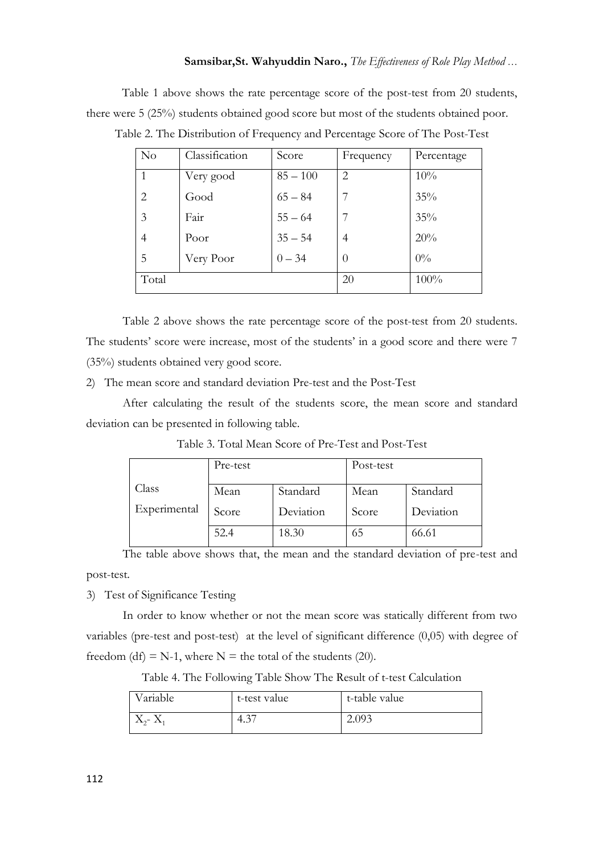### **Samsibar,St. Wahyuddin Naro.,** *The Effectiveness of Role Play Method …*

Table 1 above shows the rate percentage score of the post-test from 20 students, there were 5 (25%) students obtained good score but most of the students obtained poor.

| $\rm No$ | Classification | Score      | Frequency      | Percentage |
|----------|----------------|------------|----------------|------------|
|          | Very good      | $85 - 100$ | $\overline{2}$ | 10%        |
| 2        | Good           | $65 - 84$  |                | 35%        |
| 3        | Fair           | $55 - 64$  |                | 35%        |
| 4        | Poor           | $35 - 54$  | 4              | 20%        |
| 5        | Very Poor      | $0 - 34$   | $\theta$       | $0\%$      |
| Total    |                |            | 20             | 100%       |

Table 2. The Distribution of Frequency and Percentage Score of The Post-Test

Table 2 above shows the rate percentage score of the post-test from 20 students. The students' score were increase, most of the students' in a good score and there were 7 (35%) students obtained very good score.

2) The mean score and standard deviation Pre-test and the Post-Test

After calculating the result of the students score, the mean score and standard deviation can be presented in following table.

|              | Pre-test |           | Post-test |           |
|--------------|----------|-----------|-----------|-----------|
| Class        | Mean     | Standard  | Mean      | Standard  |
|              |          |           |           |           |
| Experimental | Score    | Deviation | Score     | Deviation |
|              | 52.4     | 18.30     | 65        | 66.61     |

Table 3. Total Mean Score of Pre-Test and Post-Test

The table above shows that, the mean and the standard deviation of pre-test and post-test.

3) Test of Significance Testing

In order to know whether or not the mean score was statically different from two variables (pre-test and post-test) at the level of significant difference (0,05) with degree of freedom (df) = N-1, where N = the total of the students (20).

| Variable          | t-test value | t-table value |
|-------------------|--------------|---------------|
| $X_{2}$ - $X_{1}$ | ຼາ−<br>4.3   | 2.093         |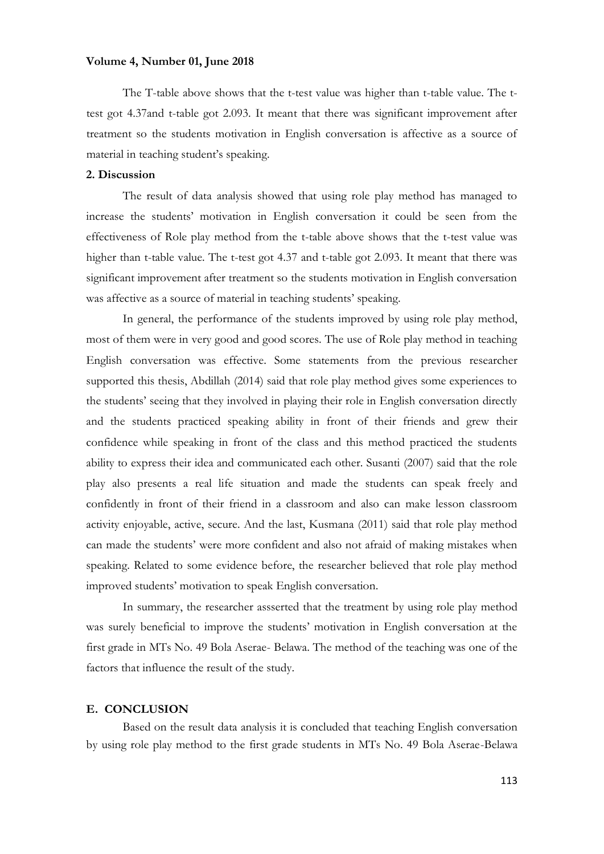### **Volume 4, Number 01, June 2018**

The T-table above shows that the t-test value was higher than t-table value. The ttest got 4.37and t-table got 2.093. It meant that there was significant improvement after treatment so the students motivation in English conversation is affective as a source of material in teaching student's speaking.

### **2. Discussion**

The result of data analysis showed that using role play method has managed to increase the students' motivation in English conversation it could be seen from the effectiveness of Role play method from the t-table above shows that the t-test value was higher than t-table value. The t-test got 4.37 and t-table got 2.093. It meant that there was significant improvement after treatment so the students motivation in English conversation was affective as a source of material in teaching students' speaking.

In general, the performance of the students improved by using role play method, most of them were in very good and good scores. The use of Role play method in teaching English conversation was effective. Some statements from the previous researcher supported this thesis, Abdillah (2014) said that role play method gives some experiences to the students' seeing that they involved in playing their role in English conversation directly and the students practiced speaking ability in front of their friends and grew their confidence while speaking in front of the class and this method practiced the students ability to express their idea and communicated each other. Susanti (2007) said that the role play also presents a real life situation and made the students can speak freely and confidently in front of their friend in a classroom and also can make lesson classroom activity enjoyable, active, secure. And the last, Kusmana (2011) said that role play method can made the students' were more confident and also not afraid of making mistakes when speaking. Related to some evidence before, the researcher believed that role play method improved students' motivation to speak English conversation.

In summary, the researcher assserted that the treatment by using role play method was surely beneficial to improve the students' motivation in English conversation at the first grade in MTs No. 49 Bola Aserae- Belawa. The method of the teaching was one of the factors that influence the result of the study.

### **E. CONCLUSION**

Based on the result data analysis it is concluded that teaching English conversation by using role play method to the first grade students in MTs No. 49 Bola Aserae-Belawa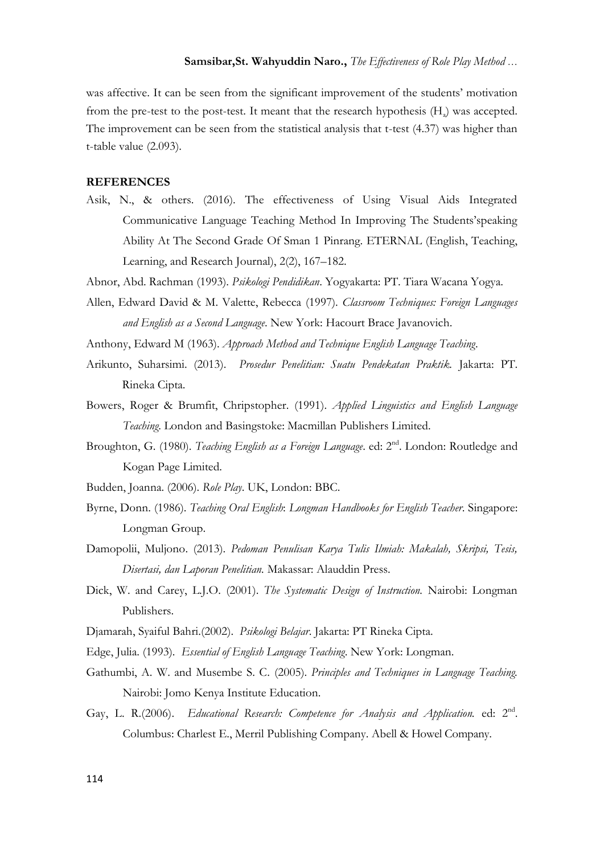### **Samsibar,St. Wahyuddin Naro.,** *The Effectiveness of Role Play Method …*

was affective. It can be seen from the significant improvement of the students' motivation from the pre-test to the post-test. It meant that the research hypothesis  $(H_a)$  was accepted. The improvement can be seen from the statistical analysis that t-test (4.37) was higher than t-table value (2.093).

### **REFERENCES**

Asik, N., & others. (2016). The effectiveness of Using Visual Aids Integrated Communicative Language Teaching Method In Improving The Students'speaking Ability At The Second Grade Of Sman 1 Pinrang. ETERNAL (English, Teaching, Learning, and Research Journal), 2(2), 167–182.

Abnor, Abd. Rachman (1993). *Psikologi Pendidikan*. Yogyakarta: PT. Tiara Wacana Yogya.

Allen, Edward David & M. Valette, Rebecca (1997). *Classroom Techniques: Foreign Languages and English as a Second Language*. New York: Hacourt Brace Javanovich.

Anthony, Edward M (1963). *Approach Method and Technique English Language Teaching*.

- Arikunto, Suharsimi. (2013). *Prosedur Penelitian: Suatu Pendekatan Praktik.* Jakarta: PT. Rineka Cipta.
- Bowers, Roger & Brumfit, Chripstopher. (1991). *Applied Linguistics and English Language Teaching*. London and Basingstoke: Macmillan Publishers Limited.
- Broughton, G. (1980). *Teaching English as a Foreign Language*. ed: 2<sup>nd</sup>. London: Routledge and Kogan Page Limited.
- Budden, Joanna. (2006). *Role Play*. UK, London: BBC.
- Byrne, Donn. (1986). *Teaching Oral English*: *Longman Handbooks for English Teacher*. Singapore: Longman Group.
- Damopolii, Muljono. (2013). *Pedoman Penulisan Karya Tulis Ilmiah: Makalah, Skripsi, Tesis, Disertasi, dan Laporan Penelitian.* Makassar: Alauddin Press.
- Dick, W. and Carey, L.J.O. (2001). *The Systematic Design of Instruction.* Nairobi: Longman Publishers.
- Djamarah, Syaiful Bahri.(2002). *Psikologi Belajar*. Jakarta: PT Rineka Cipta.
- Edge, Julia. (1993). *Essential of English Language Teaching*. New York: Longman.
- Gathumbi, A. W. and Musembe S. C. (2005). *Principles and Techniques in Language Teaching.*  Nairobi: Jomo Kenya Institute Education.
- Gay, L. R.(2006). *Educational Research: Competence for Analysis and Application*. ed: 2<sup>nd</sup>. Columbus: Charlest E., Merril Publishing Company. Abell & Howel Company.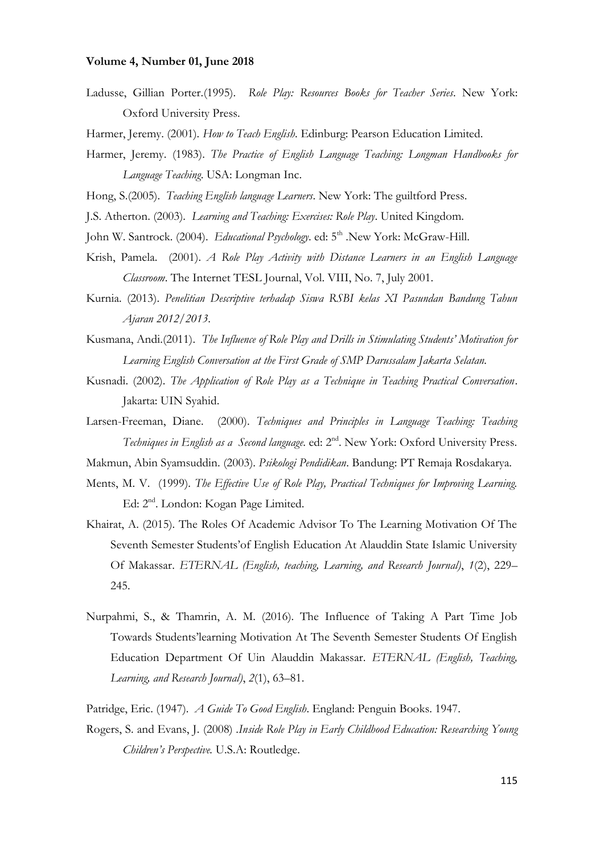### **Volume 4, Number 01, June 2018**

Ladusse, Gillian Porter.(1995). *Role Play: Resources Books for Teacher Series*. New York: Oxford University Press.

Harmer, Jeremy. (2001). *How to Teach English*. Edinburg: Pearson Education Limited.

Harmer, Jeremy. (1983). *The Practice of English Language Teaching: Longman Handbooks for Language Teaching*. USA: Longman Inc.

Hong, S.(2005). *Teaching English language Learners*. New York: The guiltford Press.

J.S. Atherton. (2003). *Learning and Teaching: Exercises: Role Play*. United Kingdom.

John W. Santrock. (2004). *Educational Psychology*. ed: 5<sup>th</sup> .New York: McGraw-Hill.

- Krish, Pamela. (2001). *A Role Play Activity with Distance Learners in an English Language Classroom*. The Internet TESL Journal, Vol. VIII, No. 7, July 2001.
- Kurnia. (2013). *Penelitian Descriptive terhadap Siswa RSBI kelas XI Pasundan Bandung Tahun Ajaran 2012/2013*.
- Kusmana, Andi.(2011). *The Influence of Role Play and Drills in Stimulating Students' Motivation for Learning English Conversation at the First Grade of SMP Darussalam Jakarta Selatan.*
- Kusnadi. (2002). *The Application of Role Play as a Technique in Teaching Practical Conversation*. Jakarta: UIN Syahid.
- Larsen-Freeman, Diane. (2000). *Techniques and Principles in Language Teaching: Teaching Techniques in English as a Second language*. ed: 2nd. New York: Oxford University Press.

Makmun, Abin Syamsuddin. (2003). *Psikologi Pendidikan*. Bandung: PT Remaja Rosdakarya.

- Ments, M. V. (1999). *The Effective Use of Role Play, Practical Techniques for Improving Learning.* Ed: 2<sup>nd</sup>. London: Kogan Page Limited.
- Khairat, A. (2015). The Roles Of Academic Advisor To The Learning Motivation Of The Seventh Semester Students'of English Education At Alauddin State Islamic University Of Makassar. *ETERNAL (English, teaching, Learning, and Research Journal)*, *1*(2), 229– 245.
- Nurpahmi, S., & Thamrin, A. M. (2016). The Influence of Taking A Part Time Job Towards Students'learning Motivation At The Seventh Semester Students Of English Education Department Of Uin Alauddin Makassar. *ETERNAL (English, Teaching, Learning, and Research Journal)*, *2*(1), 63–81.
- Patridge, Eric. (1947). *A Guide To Good English*. England: Penguin Books. 1947.
- Rogers, S. and Evans, J. (2008) .*Inside Role Play in Early Childhood Education: Researching Young Children's Perspective.* U.S.A: Routledge.